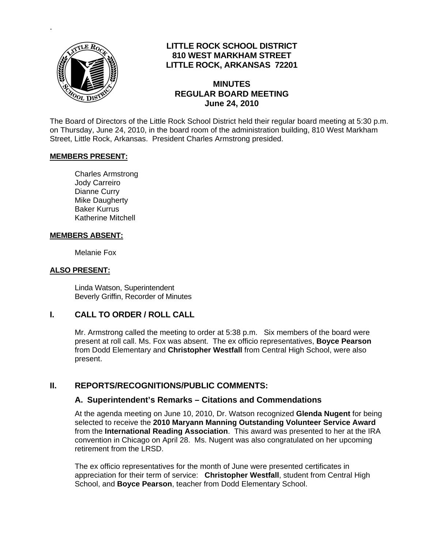

.

## **LITTLE ROCK SCHOOL DISTRICT 810 WEST MARKHAM STREET LITTLE ROCK, ARKANSAS 72201**

#### **MINUTES REGULAR BOARD MEETING June 24, 2010**

The Board of Directors of the Little Rock School District held their regular board meeting at 5:30 p.m. on Thursday, June 24, 2010, in the board room of the administration building, 810 West Markham Street, Little Rock, Arkansas. President Charles Armstrong presided.

#### **MEMBERS PRESENT:**

Charles Armstrong Jody Carreiro Dianne Curry Mike Daugherty Baker Kurrus Katherine Mitchell

#### **MEMBERS ABSENT:**

Melanie Fox

#### **ALSO PRESENT:**

 Linda Watson, Superintendent Beverly Griffin, Recorder of Minutes

#### **I. CALL TO ORDER / ROLL CALL**

Mr. Armstrong called the meeting to order at 5:38 p.m. Six members of the board were present at roll call. Ms. Fox was absent. The ex officio representatives, **Boyce Pearson** from Dodd Elementary and **Christopher Westfall** from Central High School, were also present.

#### **II. REPORTS/RECOGNITIONS/PUBLIC COMMENTS:**

#### **A. Superintendent's Remarks – Citations and Commendations**

At the agenda meeting on June 10, 2010, Dr. Watson recognized **Glenda Nugent** for being selected to receive the **2010 Maryann Manning Outstanding Volunteer Service Award** from the **International Reading Association**. This award was presented to her at the IRA convention in Chicago on April 28. Ms. Nugent was also congratulated on her upcoming retirement from the LRSD.

The ex officio representatives for the month of June were presented certificates in appreciation for their term of service: **Christopher Westfall**, student from Central High School, and **Boyce Pearson**, teacher from Dodd Elementary School.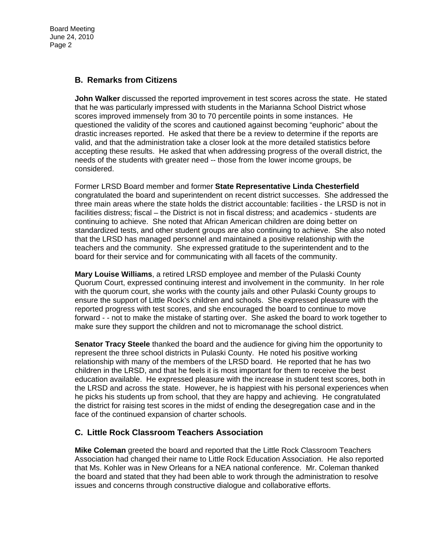## **B. Remarks from Citizens**

**John Walker** discussed the reported improvement in test scores across the state. He stated that he was particularly impressed with students in the Marianna School District whose scores improved immensely from 30 to 70 percentile points in some instances. He questioned the validity of the scores and cautioned against becoming "euphoric" about the drastic increases reported. He asked that there be a review to determine if the reports are valid, and that the administration take a closer look at the more detailed statistics before accepting these results. He asked that when addressing progress of the overall district, the needs of the students with greater need -- those from the lower income groups, be considered.

Former LRSD Board member and former **State Representative Linda Chesterfield** congratulated the board and superintendent on recent district successes. She addressed the three main areas where the state holds the district accountable: facilities - the LRSD is not in facilities distress; fiscal – the District is not in fiscal distress; and academics - students are continuing to achieve. She noted that African American children are doing better on standardized tests, and other student groups are also continuing to achieve. She also noted that the LRSD has managed personnel and maintained a positive relationship with the teachers and the community. She expressed gratitude to the superintendent and to the board for their service and for communicating with all facets of the community.

**Mary Louise Williams**, a retired LRSD employee and member of the Pulaski County Quorum Court, expressed continuing interest and involvement in the community. In her role with the quorum court, she works with the county jails and other Pulaski County groups to ensure the support of Little Rock's children and schools. She expressed pleasure with the reported progress with test scores, and she encouraged the board to continue to move forward - - not to make the mistake of starting over. She asked the board to work together to make sure they support the children and not to micromanage the school district.

**Senator Tracy Steele** thanked the board and the audience for giving him the opportunity to represent the three school districts in Pulaski County. He noted his positive working relationship with many of the members of the LRSD board. He reported that he has two children in the LRSD, and that he feels it is most important for them to receive the best education available. He expressed pleasure with the increase in student test scores, both in the LRSD and across the state. However, he is happiest with his personal experiences when he picks his students up from school, that they are happy and achieving. He congratulated the district for raising test scores in the midst of ending the desegregation case and in the face of the continued expansion of charter schools.

## **C. Little Rock Classroom Teachers Association**

**Mike Coleman** greeted the board and reported that the Little Rock Classroom Teachers Association had changed their name to Little Rock Education Association. He also reported that Ms. Kohler was in New Orleans for a NEA national conference. Mr. Coleman thanked the board and stated that they had been able to work through the administration to resolve issues and concerns through constructive dialogue and collaborative efforts.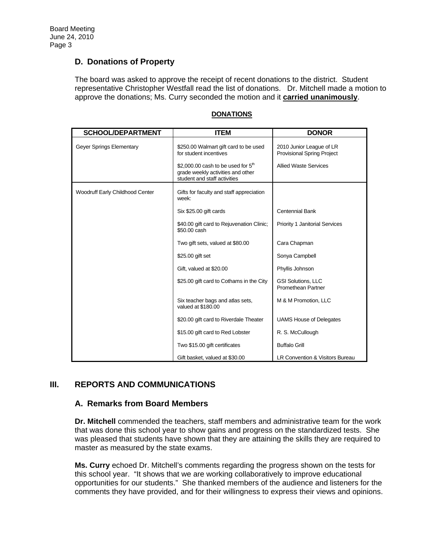## **D. Donations of Property**

The board was asked to approve the receipt of recent donations to the district. Student representative Christopher Westfall read the list of donations. Dr. Mitchell made a motion to approve the donations; Ms. Curry seconded the motion and it **carried unanimously**.

| <b>SCHOOL/DEPARTMENT</b>        | <b>ITEM</b>                                                                                               | <b>DONOR</b>                                                  |
|---------------------------------|-----------------------------------------------------------------------------------------------------------|---------------------------------------------------------------|
| Geyer Springs Elementary        | \$250.00 Walmart gift card to be used<br>for student incentives                                           | 2010 Junior League of LR<br><b>Provisional Spring Project</b> |
|                                 | \$2,000.00 cash to be used for $5th$<br>grade weekly activities and other<br>student and staff activities | <b>Allied Waste Services</b>                                  |
| Woodruff Early Childhood Center | Gifts for faculty and staff appreciation<br>week:                                                         |                                                               |
|                                 | Six \$25.00 gift cards                                                                                    | <b>Centennial Bank</b>                                        |
|                                 | \$40.00 gift card to Rejuvenation Clinic;<br>\$50.00 cash                                                 | <b>Priority 1 Janitorial Services</b>                         |
|                                 | Two gift sets, valued at \$80.00                                                                          | Cara Chapman                                                  |
|                                 | \$25.00 gift set                                                                                          | Sonya Campbell                                                |
|                                 | Gift, valued at \$20.00                                                                                   | Phyllis Johnson                                               |
|                                 | \$25.00 gift card to Cothams in the City                                                                  | <b>GSI Solutions, LLC</b><br>Promethean Partner               |
|                                 | Six teacher bags and atlas sets,<br>valued at \$180.00                                                    | M & M Promotion, LLC                                          |
|                                 | \$20.00 gift card to Riverdale Theater                                                                    | <b>UAMS House of Delegates</b>                                |
|                                 | \$15.00 gift card to Red Lobster                                                                          | R. S. McCullough                                              |
|                                 | Two \$15.00 gift certificates                                                                             | <b>Buffalo Grill</b>                                          |
|                                 | Gift basket, valued at \$30.00                                                                            | LR Convention & Visitors Bureau                               |

#### **DONATIONS**

## **III. REPORTS AND COMMUNICATIONS**

## **A. Remarks from Board Members**

**Dr. Mitchell** commended the teachers, staff members and administrative team for the work that was done this school year to show gains and progress on the standardized tests. She was pleased that students have shown that they are attaining the skills they are required to master as measured by the state exams.

**Ms. Curry** echoed Dr. Mitchell's comments regarding the progress shown on the tests for this school year. "It shows that we are working collaboratively to improve educational opportunities for our students." She thanked members of the audience and listeners for the comments they have provided, and for their willingness to express their views and opinions.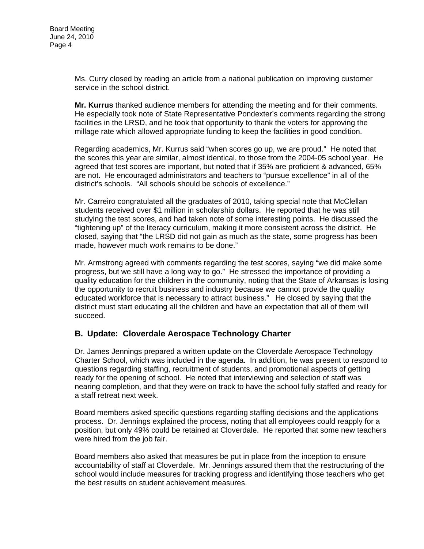Ms. Curry closed by reading an article from a national publication on improving customer service in the school district.

**Mr. Kurrus** thanked audience members for attending the meeting and for their comments. He especially took note of State Representative Pondexter's comments regarding the strong facilities in the LRSD, and he took that opportunity to thank the voters for approving the millage rate which allowed appropriate funding to keep the facilities in good condition.

Regarding academics, Mr. Kurrus said "when scores go up, we are proud." He noted that the scores this year are similar, almost identical, to those from the 2004-05 school year. He agreed that test scores are important, but noted that if 35% are proficient & advanced, 65% are not. He encouraged administrators and teachers to "pursue excellence" in all of the district's schools. "All schools should be schools of excellence."

Mr. Carreiro congratulated all the graduates of 2010, taking special note that McClellan students received over \$1 million in scholarship dollars. He reported that he was still studying the test scores, and had taken note of some interesting points. He discussed the "tightening up" of the literacy curriculum, making it more consistent across the district. He closed, saying that "the LRSD did not gain as much as the state, some progress has been made, however much work remains to be done."

Mr. Armstrong agreed with comments regarding the test scores, saying "we did make some progress, but we still have a long way to go." He stressed the importance of providing a quality education for the children in the community, noting that the State of Arkansas is losing the opportunity to recruit business and industry because we cannot provide the quality educated workforce that is necessary to attract business." He closed by saying that the district must start educating all the children and have an expectation that all of them will succeed.

## **B. Update: Cloverdale Aerospace Technology Charter**

Dr. James Jennings prepared a written update on the Cloverdale Aerospace Technology Charter School, which was included in the agenda. In addition, he was present to respond to questions regarding staffing, recruitment of students, and promotional aspects of getting ready for the opening of school. He noted that interviewing and selection of staff was nearing completion, and that they were on track to have the school fully staffed and ready for a staff retreat next week.

Board members asked specific questions regarding staffing decisions and the applications process. Dr. Jennings explained the process, noting that all employees could reapply for a position, but only 49% could be retained at Cloverdale. He reported that some new teachers were hired from the job fair.

Board members also asked that measures be put in place from the inception to ensure accountability of staff at Cloverdale. Mr. Jennings assured them that the restructuring of the school would include measures for tracking progress and identifying those teachers who get the best results on student achievement measures.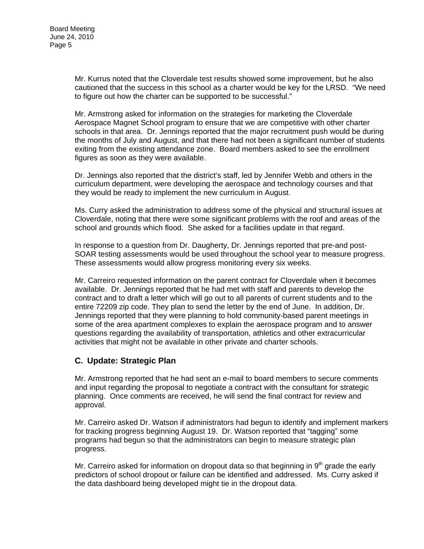Mr. Kurrus noted that the Cloverdale test results showed some improvement, but he also cautioned that the success in this school as a charter would be key for the LRSD. "We need to figure out how the charter can be supported to be successful."

Mr. Armstrong asked for information on the strategies for marketing the Cloverdale Aerospace Magnet School program to ensure that we are competitive with other charter schools in that area. Dr. Jennings reported that the major recruitment push would be during the months of July and August, and that there had not been a significant number of students exiting from the existing attendance zone. Board members asked to see the enrollment figures as soon as they were available.

Dr. Jennings also reported that the district's staff, led by Jennifer Webb and others in the curriculum department, were developing the aerospace and technology courses and that they would be ready to implement the new curriculum in August.

Ms. Curry asked the administration to address some of the physical and structural issues at Cloverdale, noting that there were some significant problems with the roof and areas of the school and grounds which flood. She asked for a facilities update in that regard.

In response to a question from Dr. Daugherty, Dr. Jennings reported that pre-and post-SOAR testing assessments would be used throughout the school year to measure progress. These assessments would allow progress monitoring every six weeks.

Mr. Carreiro requested information on the parent contract for Cloverdale when it becomes available. Dr. Jennings reported that he had met with staff and parents to develop the contract and to draft a letter which will go out to all parents of current students and to the entire 72209 zip code. They plan to send the letter by the end of June. In addition, Dr. Jennings reported that they were planning to hold community-based parent meetings in some of the area apartment complexes to explain the aerospace program and to answer questions regarding the availability of transportation, athletics and other extracurricular activities that might not be available in other private and charter schools.

## **C. Update: Strategic Plan**

Mr. Armstrong reported that he had sent an e-mail to board members to secure comments and input regarding the proposal to negotiate a contract with the consultant for strategic planning. Once comments are received, he will send the final contract for review and approval.

Mr. Carreiro asked Dr. Watson if administrators had begun to identify and implement markers for tracking progress beginning August 19. Dr. Watson reported that "tagging" some programs had begun so that the administrators can begin to measure strategic plan progress.

Mr. Carreiro asked for information on dropout data so that beginning in  $9<sup>th</sup>$  grade the early predictors of school dropout or failure can be identified and addressed. Ms. Curry asked if the data dashboard being developed might tie in the dropout data.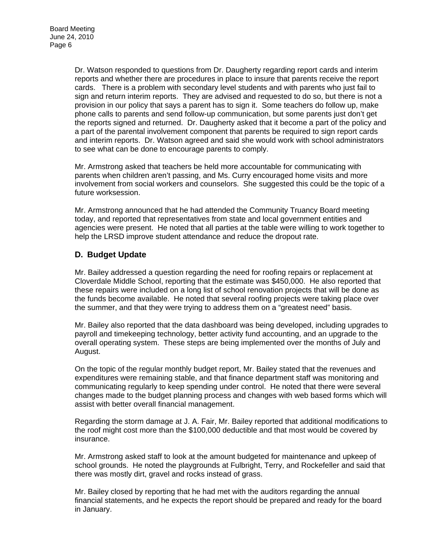Dr. Watson responded to questions from Dr. Daugherty regarding report cards and interim reports and whether there are procedures in place to insure that parents receive the report cards. There is a problem with secondary level students and with parents who just fail to sign and return interim reports. They are advised and requested to do so, but there is not a provision in our policy that says a parent has to sign it. Some teachers do follow up, make phone calls to parents and send follow-up communication, but some parents just don't get the reports signed and returned. Dr. Daugherty asked that it become a part of the policy and a part of the parental involvement component that parents be required to sign report cards and interim reports. Dr. Watson agreed and said she would work with school administrators to see what can be done to encourage parents to comply.

Mr. Armstrong asked that teachers be held more accountable for communicating with parents when children aren't passing, and Ms. Curry encouraged home visits and more involvement from social workers and counselors. She suggested this could be the topic of a future worksession.

Mr. Armstrong announced that he had attended the Community Truancy Board meeting today, and reported that representatives from state and local government entities and agencies were present. He noted that all parties at the table were willing to work together to help the LRSD improve student attendance and reduce the dropout rate.

## **D. Budget Update**

Mr. Bailey addressed a question regarding the need for roofing repairs or replacement at Cloverdale Middle School, reporting that the estimate was \$450,000. He also reported that these repairs were included on a long list of school renovation projects that will be done as the funds become available. He noted that several roofing projects were taking place over the summer, and that they were trying to address them on a "greatest need" basis.

Mr. Bailey also reported that the data dashboard was being developed, including upgrades to payroll and timekeeping technology, better activity fund accounting, and an upgrade to the overall operating system. These steps are being implemented over the months of July and August.

On the topic of the regular monthly budget report, Mr. Bailey stated that the revenues and expenditures were remaining stable, and that finance department staff was monitoring and communicating regularly to keep spending under control. He noted that there were several changes made to the budget planning process and changes with web based forms which will assist with better overall financial management.

Regarding the storm damage at J. A. Fair, Mr. Bailey reported that additional modifications to the roof might cost more than the \$100,000 deductible and that most would be covered by insurance.

Mr. Armstrong asked staff to look at the amount budgeted for maintenance and upkeep of school grounds. He noted the playgrounds at Fulbright, Terry, and Rockefeller and said that there was mostly dirt, gravel and rocks instead of grass.

Mr. Bailey closed by reporting that he had met with the auditors regarding the annual financial statements, and he expects the report should be prepared and ready for the board in January.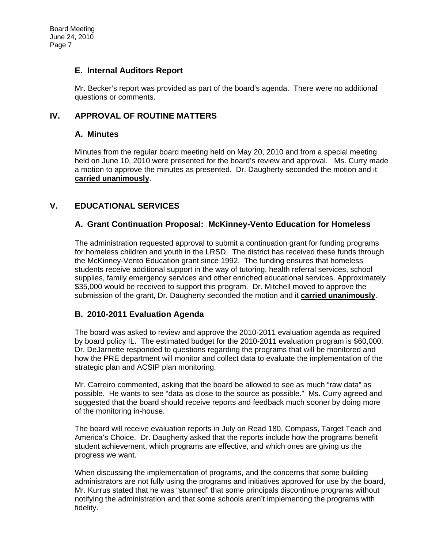## **E. Internal Auditors Report**

Mr. Becker's report was provided as part of the board's agenda. There were no additional questions or comments.

## **IV. APPROVAL OF ROUTINE MATTERS**

## **A. Minutes**

Minutes from the regular board meeting held on May 20, 2010 and from a special meeting held on June 10, 2010 were presented for the board's review and approval. Ms. Curry made a motion to approve the minutes as presented. Dr. Daugherty seconded the motion and it **carried unanimously**.

## **V. EDUCATIONAL SERVICES**

## **A. Grant Continuation Proposal: McKinney-Vento Education for Homeless**

The administration requested approval to submit a continuation grant for funding programs for homeless children and youth in the LRSD. The district has received these funds through the McKinney-Vento Education grant since 1992. The funding ensures that homeless students receive additional support in the way of tutoring, health referral services, school supplies, family emergency services and other enriched educational services. Approximately \$35,000 would be received to support this program. Dr. Mitchell moved to approve the submission of the grant, Dr. Daugherty seconded the motion and it **carried unanimously**.

## **B. 2010-2011 Evaluation Agenda**

The board was asked to review and approve the 2010-2011 evaluation agenda as required by board policy IL. The estimated budget for the 2010-2011 evaluation program is \$60,000. Dr. DeJarnette responded to questions regarding the programs that will be monitored and how the PRE department will monitor and collect data to evaluate the implementation of the strategic plan and ACSIP plan monitoring.

Mr. Carreiro commented, asking that the board be allowed to see as much "raw data" as possible. He wants to see "data as close to the source as possible." Ms. Curry agreed and suggested that the board should receive reports and feedback much sooner by doing more of the monitoring in-house.

The board will receive evaluation reports in July on Read 180, Compass, Target Teach and America's Choice. Dr. Daugherty asked that the reports include how the programs benefit student achievement, which programs are effective, and which ones are giving us the progress we want.

When discussing the implementation of programs, and the concerns that some building administrators are not fully using the programs and initiatives approved for use by the board, Mr. Kurrus stated that he was "stunned" that some principals discontinue programs without notifying the administration and that some schools aren't implementing the programs with fidelity.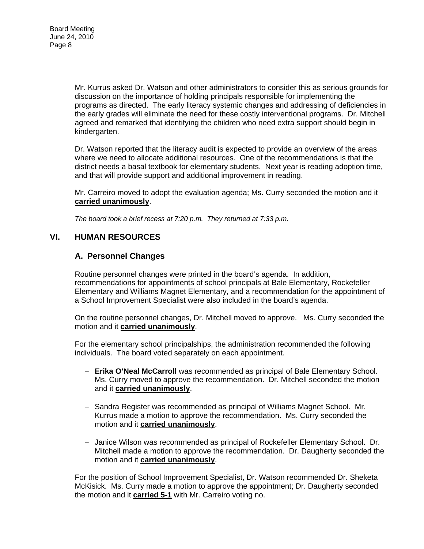Mr. Kurrus asked Dr. Watson and other administrators to consider this as serious grounds for discussion on the importance of holding principals responsible for implementing the programs as directed. The early literacy systemic changes and addressing of deficiencies in the early grades will eliminate the need for these costly interventional programs. Dr. Mitchell agreed and remarked that identifying the children who need extra support should begin in kindergarten.

Dr. Watson reported that the literacy audit is expected to provide an overview of the areas where we need to allocate additional resources. One of the recommendations is that the district needs a basal textbook for elementary students. Next year is reading adoption time, and that will provide support and additional improvement in reading.

Mr. Carreiro moved to adopt the evaluation agenda; Ms. Curry seconded the motion and it **carried unanimously**.

*The board took a brief recess at 7:20 p.m. They returned at 7:33 p.m.* 

## **VI. HUMAN RESOURCES**

## **A. Personnel Changes**

Routine personnel changes were printed in the board's agenda. In addition, recommendations for appointments of school principals at Bale Elementary, Rockefeller Elementary and Williams Magnet Elementary, and a recommendation for the appointment of a School Improvement Specialist were also included in the board's agenda.

On the routine personnel changes, Dr. Mitchell moved to approve. Ms. Curry seconded the motion and it **carried unanimously**.

For the elementary school principalships, the administration recommended the following individuals. The board voted separately on each appointment.

- − **Erika O'Neal McCarroll** was recommended as principal of Bale Elementary School. Ms. Curry moved to approve the recommendation. Dr. Mitchell seconded the motion and it **carried unanimously**.
- − Sandra Register was recommended as principal of Williams Magnet School. Mr. Kurrus made a motion to approve the recommendation. Ms. Curry seconded the motion and it **carried unanimously**.
- − Janice Wilson was recommended as principal of Rockefeller Elementary School. Dr. Mitchell made a motion to approve the recommendation. Dr. Daugherty seconded the motion and it **carried unanimously**.

For the position of School Improvement Specialist, Dr. Watson recommended Dr. Sheketa McKisick. Ms. Curry made a motion to approve the appointment; Dr. Daugherty seconded the motion and it **carried 5-1** with Mr. Carreiro voting no.